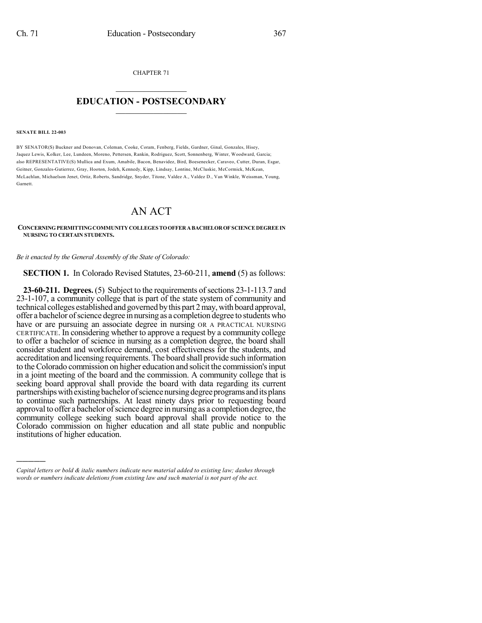CHAPTER 71

## $\overline{\phantom{a}}$  . The set of the set of the set of the set of the set of the set of the set of the set of the set of the set of the set of the set of the set of the set of the set of the set of the set of the set of the set o **EDUCATION - POSTSECONDARY**  $\_$   $\_$   $\_$   $\_$   $\_$   $\_$   $\_$   $\_$   $\_$

**SENATE BILL 22-003**

)))))

BY SENATOR(S) Buckner and Donovan, Coleman, Cooke, Coram, Fenberg, Fields, Gardner, Ginal, Gonzales, Hisey, Jaquez Lewis, Kolker, Lee, Lundeen, Moreno, Pettersen, Rankin, Rodriguez, Scott, Sonnenberg, Winter, Woodward, Garcia; also REPRESENTATIVE(S) Mullica and Exum, Amabile, Bacon, Benavidez, Bird, Boesenecker, Caraveo, Cutter, Duran, Esgar, Geitner, Gonzales-Gutierrez, Gray, Hooton, Jodeh, Kennedy, Kipp, Lindsay, Lontine, McCluskie, McCormick, McKean, McLachlan, Michaelson Jenet, Ortiz, Roberts, Sandridge, Snyder, Titone, Valdez A., Valdez D., Van Winkle, Weissman, Young, Garnett.

## AN ACT

## **CONCERNINGPERMITTINGCOMMUNITYCOLLEGES TOOFFERABACHELOROFSCIENCEDEGREEIN NURSING TO CERTAIN STUDENTS.**

*Be it enacted by the General Assembly of the State of Colorado:*

**SECTION 1.** In Colorado Revised Statutes, 23-60-211, **amend** (5) as follows:

**23-60-211. Degrees.** (5) Subject to the requirements of sections 23-1-113.7 and 23-1-107, a community college that is part of the state system of community and technical colleges established and governed by this part 2 may, with board approval, offer a bachelor ofscience degree in nursing as a completion degree to students who have or are pursuing an associate degree in nursing OR A PRACTICAL NURSING CERTIFICATE. In considering whether to approve a request by a community college to offer a bachelor of science in nursing as a completion degree, the board shall consider student and workforce demand, cost effectiveness for the students, and accreditation and licensing requirements.The board shall provide such information to the Colorado commission on higher education and solicit the commission's input in a joint meeting of the board and the commission. A community college that is seeking board approval shall provide the board with data regarding its current partnerships with existing bachelor of science nursing degree programs and its plans to continue such partnerships. At least ninety days prior to requesting board approval to offer a bachelor of science degree in nursing as a completion degree, the community college seeking such board approval shall provide notice to the Colorado commission on higher education and all state public and nonpublic institutions of higher education.

*Capital letters or bold & italic numbers indicate new material added to existing law; dashes through words or numbers indicate deletions from existing law and such material is not part of the act.*